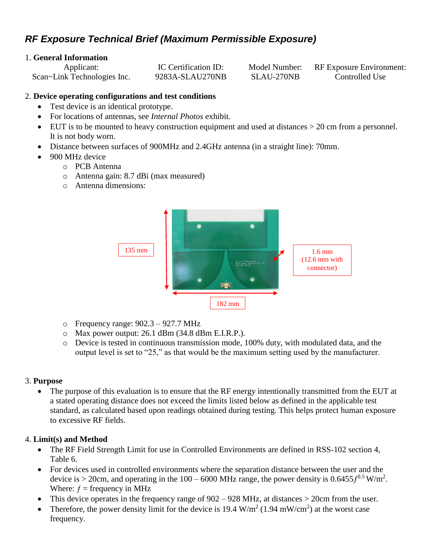# *RF Exposure Technical Brief (Maximum Permissible Exposure)*

## 1. **General Information**

| Applicant:                  | IC Certification ID: | Model Number: | RF Exposure Environment: |
|-----------------------------|----------------------|---------------|--------------------------|
| Scan~Link Technologies Inc. | 9283A-SLAU270NB      | SLAU-270NB    | Controlled Use           |

## 2. **Device operating configurations and test conditions**

- Test device is an identical prototype.
- For locations of antennas, see *Internal Photos* exhibit.
- EUT is to be mounted to heavy construction equipment and used at distances > 20 cm from a personnel. It is not body worn.
- Distance between surfaces of 900MHz and 2.4GHz antenna (in a straight line): 70mm.
- 900 MHz device
	- o PCB Antenna
	- o Antenna gain: 8.7 dBi (max measured)
	- o Antenna dimensions:



- o Frequency range: 902.3 927.7 MHz
- o Max power output: 26.1 dBm (34.8 dBm E.I.R.P.).
- o Device is tested in continuous transmission mode, 100% duty, with modulated data, and the output level is set to "25," as that would be the maximum setting used by the manufacturer.

## 3. **Purpose**

 The purpose of this evaluation is to ensure that the RF energy intentionally transmitted from the EUT at a stated operating distance does not exceed the limits listed below as defined in the applicable test standard, as calculated based upon readings obtained during testing. This helps protect human exposure to excessive RF fields.

## 4. **Limit(s) and Method**

- The RF Field Strength Limit for use in Controlled Environments are defined in RSS-102 section 4, Table 6.
- For devices used in controlled environments where the separation distance between the user and the device is > 20cm, and operating in the  $100 - 6000$  MHz range, the power density is  $0.6455 f^{0.5}$  W/m<sup>2</sup>. Where:  $f = \text{frequency in MHz}$
- This device operates in the frequency range of 902 928 MHz, at distances > 20cm from the user.
- Therefore, the power density limit for the device is 19.4  $W/m^2$  (1.94 mW/cm<sup>2</sup>) at the worst case frequency.